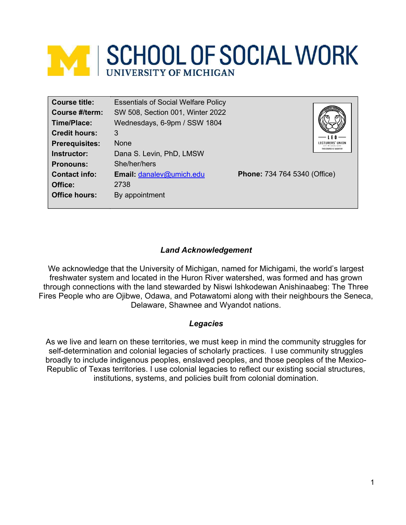# **MENA SCHOOL OF SOCIAL WORK**

#### Land Acknowledgement

We acknowledge that the University of Michigan, named for Michigami, the world's largest freshwater system and located in the Huron River watershed, was formed and has grown through connections with the land stewarded by Niswi Ishkodewan Anishinaabeg: The Three Fires People who are Ojibwe, Odawa, and Potawatomi along with their neighbours the Seneca, Delaware, Shawnee and Wyandot nations.

#### Legacies

As we live and learn on these territories, we must keep in mind the community struggles for self-determination and colonial legacies of scholarly practices. I use community struggles broadly to include indigenous peoples, enslaved peoples, and those peoples of the Mexico-Republic of Texas territories. I use colonial legacies to reflect our existing social structures, institutions, systems, and policies built from colonial domination.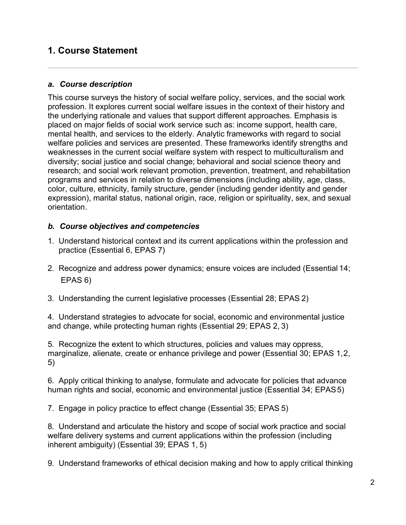# 1. Course Statement

#### a. Course description

This course surveys the history of social welfare policy, services, and the social work profession. It explores current social welfare issues in the context of their history and the underlying rationale and values that support different approaches. Emphasis is placed on major fields of social work service such as: income support, health care, mental health, and services to the elderly. Analytic frameworks with regard to social welfare policies and services are presented. These frameworks identify strengths and weaknesses in the current social welfare system with respect to multiculturalism and diversity; social justice and social change; behavioral and social science theory and research; and social work relevant promotion, prevention, treatment, and rehabilitation programs and services in relation to diverse dimensions (including ability, age, class, color, culture, ethnicity, family structure, gender (including gender identity and gender expression), marital status, national origin, race, religion or spirituality, sex, and sexual orientation.

#### b. Course objectives and competencies

- 1. Understand historical context and its current applications within the profession and practice (Essential 6, EPAS 7)
- 2. Recognize and address power dynamics; ensure voices are included (Essential 14; EPAS 6)
- 3. Understanding the current legislative processes (Essential 28; EPAS 2)

4. Understand strategies to advocate for social, economic and environmental justice and change, while protecting human rights (Essential 29; EPAS 2, 3)

5. Recognize the extent to which structures, policies and values may oppress, marginalize, alienate, create or enhance privilege and power (Essential 30; EPAS 1, 2, 5)

6. Apply critical thinking to analyse, formulate and advocate for policies that advance human rights and social, economic and environmental justice (Essential 34; EPAS 5)

7. Engage in policy practice to effect change (Essential 35; EPAS 5)

8. Understand and articulate the history and scope of social work practice and social welfare delivery systems and current applications within the profession (including inherent ambiguity) (Essential 39; EPAS 1, 5)

9. Understand frameworks of ethical decision making and how to apply critical thinking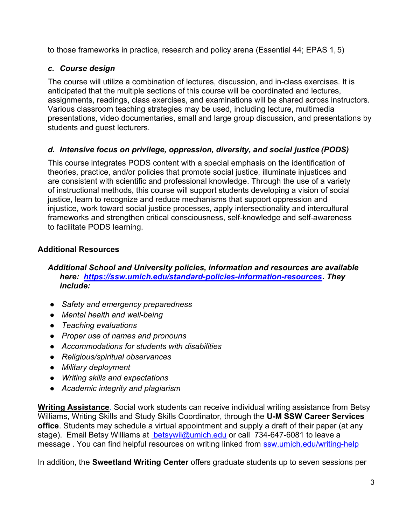to those frameworks in practice, research and policy arena (Essential 44; EPAS 1, 5)

# c. Course design

The course will utilize a combination of lectures, discussion, and in-class exercises. It is anticipated that the multiple sections of this course will be coordinated and lectures, assignments, readings, class exercises, and examinations will be shared across instructors. Various classroom teaching strategies may be used, including lecture, multimedia presentations, video documentaries, small and large group discussion, and presentations by students and guest lecturers.

# d. Intensive focus on privilege, oppression, diversity, and social justice (PODS)

This course integrates PODS content with a special emphasis on the identification of theories, practice, and/or policies that promote social justice, illuminate injustices and are consistent with scientific and professional knowledge. Through the use of a variety of instructional methods, this course will support students developing a vision of social justice, learn to recognize and reduce mechanisms that support oppression and injustice, work toward social justice processes, apply intersectionality and intercultural frameworks and strengthen critical consciousness, self-knowledge and self-awareness to facilitate PODS learning.

# Additional Resources

#### Additional School and University policies, information and resources are available here: https://ssw.umich.edu/standard-policies-information-resources. They include:

- Safety and emergency preparedness
- Mental health and well-being
- Teaching evaluations
- Proper use of names and pronouns
- Accommodations for students with disabilities
- Religious/spiritual observances
- Military deployment
- Writing skills and expectations
- Academic integrity and plagiarism

Writing Assistance. Social work students can receive individual writing assistance from Betsy Williams, Writing Skills and Study Skills Coordinator, through the U-M SSW Career Services office. Students may schedule a virtual appointment and supply a draft of their paper (at any stage). Email Betsy Williams at betsywil@umich.edu or call 734-647-6081 to leave a message . You can find helpful resources on writing linked from ssw.umich.edu/writing-help

In addition, the Sweetland Writing Center offers graduate students up to seven sessions per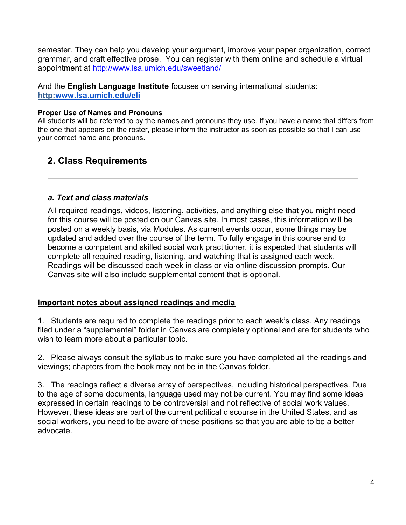semester. They can help you develop your argument, improve your paper organization, correct grammar, and craft effective prose. You can register with them online and schedule a virtual appointment at http://www.lsa.umich.edu/sweetland/

And the English Language Institute focuses on serving international students: http:www.lsa.umich.edu/eli

#### Proper Use of Names and Pronouns

All students will be referred to by the names and pronouns they use. If you have a name that differs from the one that appears on the roster, please inform the instructor as soon as possible so that I can use your correct name and pronouns.

# 2. Class Requirements

#### a. Text and class materials

All required readings, videos, listening, activities, and anything else that you might need for this course will be posted on our Canvas site. In most cases, this information will be posted on a weekly basis, via Modules. As current events occur, some things may be updated and added over the course of the term. To fully engage in this course and to become a competent and skilled social work practitioner, it is expected that students will complete all required reading, listening, and watching that is assigned each week. Readings will be discussed each week in class or via online discussion prompts. Our Canvas site will also include supplemental content that is optional.

#### Important notes about assigned readings and media

1. Students are required to complete the readings prior to each week's class. Any readings filed under a "supplemental" folder in Canvas are completely optional and are for students who wish to learn more about a particular topic.

2. Please always consult the syllabus to make sure you have completed all the readings and viewings; chapters from the book may not be in the Canvas folder.

3. The readings reflect a diverse array of perspectives, including historical perspectives. Due to the age of some documents, language used may not be current. You may find some ideas expressed in certain readings to be controversial and not reflective of social work values. However, these ideas are part of the current political discourse in the United States, and as social workers, you need to be aware of these positions so that you are able to be a better advocate.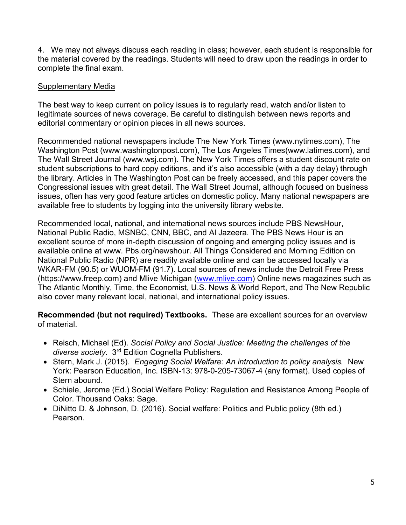4. We may not always discuss each reading in class; however, each student is responsible for the material covered by the readings. Students will need to draw upon the readings in order to complete the final exam.

#### Supplementary Media

The best way to keep current on policy issues is to regularly read, watch and/or listen to legitimate sources of news coverage. Be careful to distinguish between news reports and editorial commentary or opinion pieces in all news sources.

Recommended national newspapers include The New York Times (www.nytimes.com), The Washington Post (www.washingtonpost.com), The Los Angeles Times(www.latimes.com), and The Wall Street Journal (www.wsj.com). The New York Times offers a student discount rate on student subscriptions to hard copy editions, and it's also accessible (with a day delay) through the library. Articles in The Washington Post can be freely accessed, and this paper covers the Congressional issues with great detail. The Wall Street Journal, although focused on business issues, often has very good feature articles on domestic policy. Many national newspapers are available free to students by logging into the university library website.

Recommended local, national, and international news sources include PBS NewsHour, National Public Radio, MSNBC, CNN, BBC, and Al Jazeera. The PBS News Hour is an excellent source of more in-depth discussion of ongoing and emerging policy issues and is available online at www. Pbs.org/newshour. All Things Considered and Morning Edition on National Public Radio (NPR) are readily available online and can be accessed locally via WKAR-FM (90.5) or WUOM-FM (91.7). Local sources of news include the Detroit Free Press (https://www.freep.com) and Mlive Michigan (www.mlive.com) Online news magazines such as The Atlantic Monthly, Time, the Economist, U.S. News & World Report, and The New Republic also cover many relevant local, national, and international policy issues.

Recommended (but not required) Textbooks. These are excellent sources for an overview of material.

- Reisch, Michael (Ed). Social Policy and Social Justice: Meeting the challenges of the diverse society. 3<sup>rd</sup> Edition Cognella Publishers.
- Stern, Mark J. (2015). *Engaging Social Welfare: An introduction to policy analysis.* New York: Pearson Education, Inc. ISBN-13: 978-0-205-73067-4 (any format). Used copies of Stern abound.
- Schiele, Jerome (Ed.) Social Welfare Policy: Regulation and Resistance Among People of Color. Thousand Oaks: Sage.
- DiNitto D. & Johnson, D. (2016). Social welfare: Politics and Public policy (8th ed.) Pearson.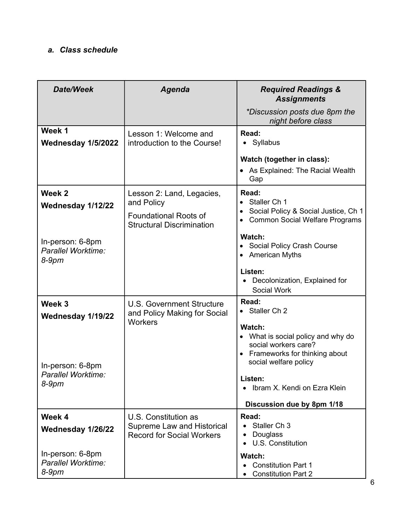# a. Class schedule

| <b>Date/Week</b>                                                      | <b>Agenda</b>                                                                                               | <b>Required Readings &amp;</b><br><b>Assignments</b>                                                                                             |  |
|-----------------------------------------------------------------------|-------------------------------------------------------------------------------------------------------------|--------------------------------------------------------------------------------------------------------------------------------------------------|--|
|                                                                       |                                                                                                             | *Discussion posts due 8pm the<br>night before class                                                                                              |  |
| Week 1<br>Wednesday 1/5/2022                                          | Lesson 1: Welcome and<br>introduction to the Course!                                                        | Read:<br>• Syllabus<br>Watch (together in class):<br>• As Explained: The Racial Wealth<br>Gap                                                    |  |
| Week 2<br>Wednesday 1/12/22<br>In-person: 6-8pm<br>Parallel Worktime: | Lesson 2: Land, Legacies,<br>and Policy<br><b>Foundational Roots of</b><br><b>Structural Discrimination</b> | Read:<br>• Staller Ch 1<br>Social Policy & Social Justice, Ch 1<br><b>Common Social Welfare Programs</b><br>Watch:<br>Social Policy Crash Course |  |
| $8-9$ pm                                                              |                                                                                                             | • American Myths<br>Listen:<br>Decolonization, Explained for<br><b>Social Work</b>                                                               |  |
| Week 3<br>Wednesday 1/19/22                                           | <b>U.S. Government Structure</b><br>and Policy Making for Social<br><b>Workers</b>                          | Read:<br>• Staller Ch 2<br>Watch:<br>• What is social policy and why do<br>social workers care?<br>• Frameworks for thinking about               |  |
| In-person: 6-8pm<br>Parallel Worktime:<br>8-9pm                       |                                                                                                             | social welfare policy<br>Listen:<br>Ibram X. Kendi on Ezra Klein<br>Discussion due by 8pm 1/18                                                   |  |
| Week 4<br>Wednesday 1/26/22                                           | U.S. Constitution as<br><b>Supreme Law and Historical</b><br><b>Record for Social Workers</b>               | Read:<br>Staller Ch <sub>3</sub><br>Douglass<br>$\bullet$<br>• U.S. Constitution                                                                 |  |
| In-person: 6-8pm<br>Parallel Worktime:<br>$8-9$ pm                    |                                                                                                             | Watch:<br><b>Constitution Part 1</b><br><b>Constitution Part 2</b>                                                                               |  |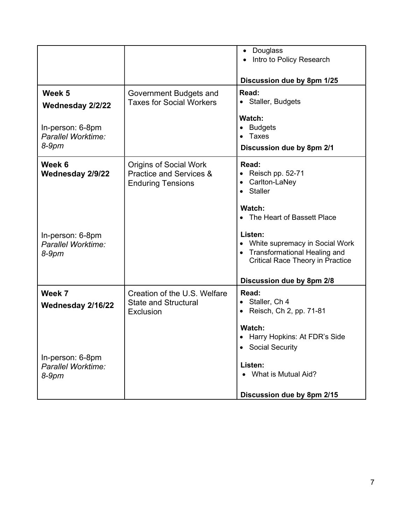|                                                    |                                                                                      | Douglass<br>$\bullet$<br>Intro to Policy Research<br>Discussion due by 8pm 1/25                                                                       |
|----------------------------------------------------|--------------------------------------------------------------------------------------|-------------------------------------------------------------------------------------------------------------------------------------------------------|
| Week 5<br>Wednesday 2/2/22                         | Government Budgets and<br><b>Taxes for Social Workers</b>                            | Read:<br>• Staller, Budgets<br>Watch:                                                                                                                 |
| In-person: 6-8pm<br>Parallel Worktime:<br>$8-9$ pm |                                                                                      | • Budgets<br>• Taxes<br>Discussion due by 8pm 2/1                                                                                                     |
| Week 6<br><b>Wednesday 2/9/22</b>                  | <b>Origins of Social Work</b><br>Practice and Services &<br><b>Enduring Tensions</b> | Read:<br>• Reisch pp. $52-71$<br>• Carlton-LaNey<br>• Staller<br>Watch:<br>• The Heart of Bassett Place                                               |
| In-person: 6-8pm<br>Parallel Worktime:<br>$8-9$ pm |                                                                                      | Listen:<br>• White supremacy in Social Work<br>• Transformational Healing and<br><b>Critical Race Theory in Practice</b><br>Discussion due by 8pm 2/8 |
| Week 7<br>Wednesday 2/16/22                        | Creation of the U.S. Welfare<br><b>State and Structural</b><br><b>Exclusion</b>      | Read:<br>• Staller, Ch 4<br>• Reisch, Ch 2, pp. $71-81$<br>Watch:<br>• Harry Hopkins: At FDR's Side                                                   |
| In-person: 6-8pm<br>Parallel Worktime:<br>8-9pm    |                                                                                      | • Social Security<br>Listen:<br>What is Mutual Aid?<br>Discussion due by 8pm 2/15                                                                     |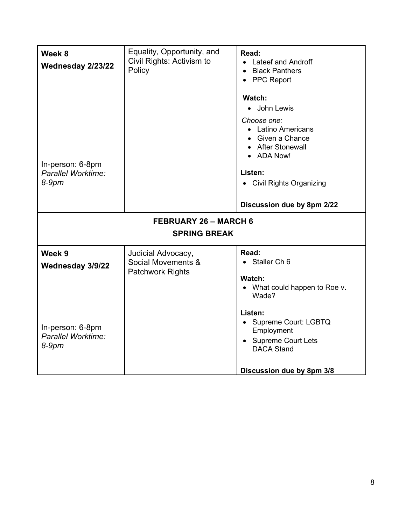| Week 8<br>Wednesday 2/23/22<br>In-person: 6-8pm     | Equality, Opportunity, and<br>Civil Rights: Activism to<br>Policy   | Read:<br><b>Lateef and Androff</b><br><b>Black Panthers</b><br><b>PPC Report</b><br>$\bullet$<br>Watch:<br>• John Lewis<br>Choose one:<br>• Latino Americans<br>• Given a Chance<br>• After Stonewall<br>• ADA Now! |  |
|-----------------------------------------------------|---------------------------------------------------------------------|---------------------------------------------------------------------------------------------------------------------------------------------------------------------------------------------------------------------|--|
| Parallel Worktime:<br>$8-9$ pm                      |                                                                     | Listen:<br>• Civil Rights Organizing<br>Discussion due by 8pm 2/22                                                                                                                                                  |  |
| <b>FEBRUARY 26 - MARCH 6</b><br><b>SPRING BREAK</b> |                                                                     |                                                                                                                                                                                                                     |  |
| Week 9<br>Wednesday 3/9/22                          | Judicial Advocacy,<br>Social Movements &<br><b>Patchwork Rights</b> | Read:<br>• Staller Ch 6<br>Watch:<br>What could happen to Roe v.<br>$\bullet$<br>Wade?                                                                                                                              |  |
| In-person: 6-8pm<br>Parallel Worktime:<br>8-9pm     |                                                                     | Listen:<br>• Supreme Court: LGBTQ<br>Employment<br><b>Supreme Court Lets</b><br><b>DACA Stand</b><br>Discussion due by 8pm 3/8                                                                                      |  |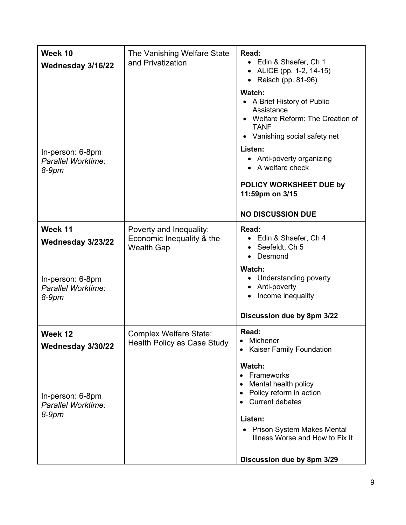| Week 10<br>Wednesday 3/16/22<br>In-person: 6-8pm<br>Parallel Worktime:<br>$8-9$ pm | The Vanishing Welfare State<br>and Privatization                          | Read:<br>• Edin & Shaefer, Ch 1<br>• ALICE (pp. 1-2, 14-15)<br>• Reisch (pp. 81-96)<br>Watch:<br>A Brief History of Public<br>Assistance<br>• Welfare Reform: The Creation of<br><b>TANF</b><br>• Vanishing social safety net<br>Listen:<br>• Anti-poverty organizing<br>• A welfare check<br>POLICY WORKSHEET DUE by<br>11:59pm on 3/15<br><b>NO DISCUSSION DUE</b> |
|------------------------------------------------------------------------------------|---------------------------------------------------------------------------|----------------------------------------------------------------------------------------------------------------------------------------------------------------------------------------------------------------------------------------------------------------------------------------------------------------------------------------------------------------------|
| Week 11<br>Wednesday 3/23/22<br>In-person: 6-8pm                                   | Poverty and Inequality:<br>Economic Inequality & the<br><b>Wealth Gap</b> | Read:<br>• Edin & Shaefer, Ch 4<br>Seefeldt, Ch 5<br>Desmond<br>$\bullet$<br>Watch:<br>• Understanding poverty                                                                                                                                                                                                                                                       |
| Parallel Worktime:<br>$8-9$ pm                                                     |                                                                           | Anti-poverty<br>Income inequality<br>Discussion due by 8pm 3/22                                                                                                                                                                                                                                                                                                      |
| Week 12                                                                            | <b>Complex Welfare State:</b><br>Health Policy as Case Study              | Read:<br>• Michener                                                                                                                                                                                                                                                                                                                                                  |
| Wednesday 3/30/22<br>In-person: 6-8pm<br>Parallel Worktime:<br>$8-9$ pm            |                                                                           | • Kaiser Family Foundation<br>Watch:<br>Frameworks<br>$\bullet$<br>Mental health policy<br>$\bullet$<br>Policy reform in action<br>$\bullet$<br><b>Current debates</b><br>Listen:<br><b>Prison System Makes Mental</b><br>Illness Worse and How to Fix It                                                                                                            |
|                                                                                    |                                                                           | Discussion due by 8pm 3/29                                                                                                                                                                                                                                                                                                                                           |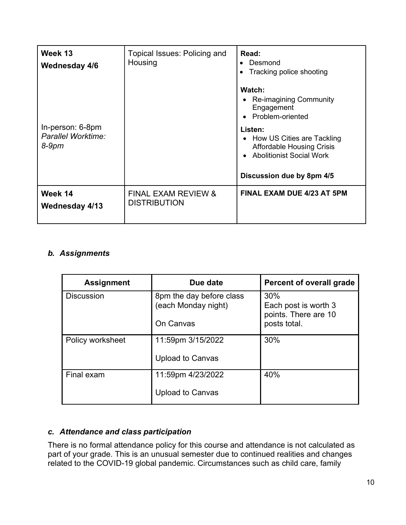| Week 13<br><b>Wednesday 4/6</b>                 | Topical Issues: Policing and<br>Housing               | Read:<br>Desmond<br>Tracking police shooting                                                                                                                                                            |
|-------------------------------------------------|-------------------------------------------------------|---------------------------------------------------------------------------------------------------------------------------------------------------------------------------------------------------------|
| In-person: 6-8pm<br>Parallel Worktime:<br>8-9pm |                                                       | Watch:<br>Re-imagining Community<br>Engagement<br>• Problem-oriented<br>Listen:<br>• How US Cities are Tackling<br>Affordable Housing Crisis<br>• Abolitionist Social Work<br>Discussion due by 8pm 4/5 |
| Week 14<br><b>Wednesday 4/13</b>                | <b>FINAL EXAM REVIEW &amp;</b><br><b>DISTRIBUTION</b> | <b>FINAL EXAM DUE 4/23 AT 5PM</b>                                                                                                                                                                       |

## b. Assignments

| <b>Assignment</b> | Due date                                        | <b>Percent of overall grade</b>                     |
|-------------------|-------------------------------------------------|-----------------------------------------------------|
| <b>Discussion</b> | 8pm the day before class<br>(each Monday night) | 30%<br>Each post is worth 3<br>points. There are 10 |
|                   | On Canvas                                       | posts total.                                        |
| Policy worksheet  | 11:59pm 3/15/2022                               | 30%                                                 |
|                   | <b>Upload to Canvas</b>                         |                                                     |
| Final exam        | 11:59pm 4/23/2022                               | 40%                                                 |
|                   | <b>Upload to Canvas</b>                         |                                                     |

## c. Attendance and class participation

There is no formal attendance policy for this course and attendance is not calculated as part of your grade. This is an unusual semester due to continued realities and changes related to the COVID-19 global pandemic. Circumstances such as child care, family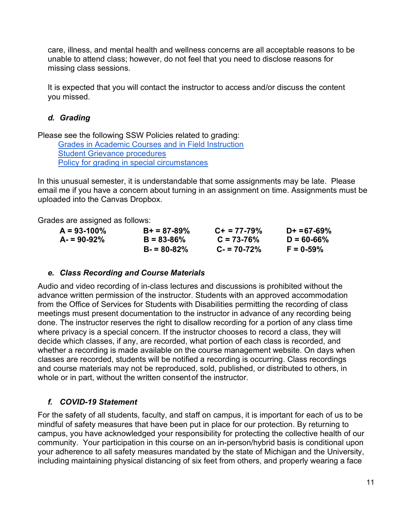care, illness, and mental health and wellness concerns are all acceptable reasons to be unable to attend class; however, do not feel that you need to disclose reasons for missing class sessions.

It is expected that you will contact the instructor to access and/or discuss the content you missed.

#### d. Grading

Please see the following SSW Policies related to grading:

Grades in Academic Courses and in Field Instruction Student Grievance procedures Policy for grading in special circumstances

In this unusual semester, it is understandable that some assignments may be late. Please email me if you have a concern about turning in an assignment on time. Assignments must be uploaded into the Canvas Dropbox.

Grades are assigned as follows:

| $A = 93 - 100\%$ | $B+ = 87-89%$   | $C_{+}$ = 77-79% | $D+ = 67-69%$  |
|------------------|-----------------|------------------|----------------|
| $A = 90-92%$     | $B = 83 - 86%$  | $C = 73 - 76%$   | $D = 60 - 66%$ |
|                  | $B = 80 - 82\%$ | $C = 70 - 72\%$  | $F = 0.59%$    |

#### e. Class Recording and Course Materials

Audio and video recording of in-class lectures and discussions is prohibited without the advance written permission of the instructor. Students with an approved accommodation from the Office of Services for Students with Disabilities permitting the recording of class meetings must present documentation to the instructor in advance of any recording being done. The instructor reserves the right to disallow recording for a portion of any class time where privacy is a special concern. If the instructor chooses to record a class, they will decide which classes, if any, are recorded, what portion of each class is recorded, and whether a recording is made available on the course management website. On days when classes are recorded, students will be notified a recording is occurring. Class recordings and course materials may not be reproduced, sold, published, or distributed to others, in whole or in part, without the written consent of the instructor.

# f. COVID-19 Statement

For the safety of all students, faculty, and staff on campus, it is important for each of us to be mindful of safety measures that have been put in place for our protection. By returning to campus, you have acknowledged your responsibility for protecting the collective health of our community. Your participation in this course on an in-person/hybrid basis is conditional upon your adherence to all safety measures mandated by the state of Michigan and the University, including maintaining physical distancing of six feet from others, and properly wearing a face